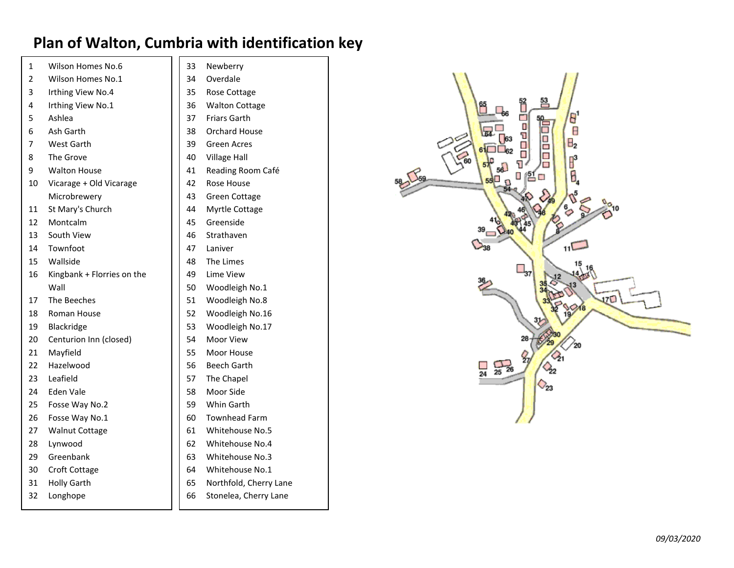## **Plan of Walton, Cumbria with identification key**

| 1  | Wilson Homes No.6          | 33 | Newberry               |
|----|----------------------------|----|------------------------|
| 2  | Wilson Homes No.1          | 34 | Overdale               |
| 3  | Irthing View No.4          | 35 | <b>Rose Cottage</b>    |
| 4  | Irthing View No.1          | 36 | <b>Walton Cottage</b>  |
| 5  | Ashlea                     | 37 | <b>Friars Garth</b>    |
| 6  | Ash Garth                  | 38 | Orchard House          |
| 7  | West Garth                 | 39 | <b>Green Acres</b>     |
| 8  | The Grove                  | 40 | <b>Village Hall</b>    |
| 9  | <b>Walton House</b>        | 41 | Reading Room Café      |
| 10 | Vicarage + Old Vicarage    | 42 | Rose House             |
|    | Microbrewery               | 43 | <b>Green Cottage</b>   |
| 11 | St Mary's Church           | 44 | Myrtle Cottage         |
| 12 | Montcalm                   | 45 | Greenside              |
| 13 | South View                 | 46 | Strathaven             |
| 14 | Townfoot                   | 47 | Laniver                |
| 15 | Wallside                   | 48 | The Limes              |
| 16 | Kingbank + Florries on the | 49 | Lime View              |
|    | Wall                       | 50 | Woodleigh No.1         |
| 17 | The Beeches                | 51 | Woodleigh No.8         |
| 18 | Roman House                | 52 | Woodleigh No.16        |
| 19 | Blackridge                 | 53 | Woodleigh No.17        |
| 20 | Centurion Inn (closed)     | 54 | Moor View              |
| 21 | Mayfield                   | 55 | Moor House             |
| 22 | Hazelwood                  | 56 | <b>Beech Garth</b>     |
| 23 | Leafield                   | 57 | The Chapel             |
| 24 | Eden Vale                  | 58 | Moor Side              |
| 25 | Fosse Way No.2             | 59 | Whin Garth             |
| 26 | Fosse Way No.1             | 60 | <b>Townhead Farm</b>   |
| 27 | <b>Walnut Cottage</b>      | 61 | <b>Whitehouse No.5</b> |
| 28 | Lynwood                    | 62 | Whitehouse No.4        |
| 29 | Greenbank                  | 63 | Whitehouse No.3        |
| 30 | Croft Cottage              | 64 | Whitehouse No.1        |
| 31 | <b>Holly Garth</b>         | 65 | Northfold, Cherry Lane |
| 32 | Longhope                   | 66 | Stonelea, Cherry Lane  |

| erry         |      |
|--------------|------|
| ale          |      |
| Cottage      |      |
| n Cottage    |      |
| Garth        |      |
| rd House     |      |
| Acres        |      |
| e Hall       |      |
| ng Room Café |      |
| House        | 58 5 |
| Cottage      |      |
| e Cottage    |      |
| side         |      |
| aven         |      |
| ٢ŗ           |      |
| mes          |      |
| /iew         |      |
| leigh No.1   |      |
| leigh No.8   |      |
| leigh No.16  |      |
| leigh No.17  |      |
| View         |      |
| House        |      |
| Garth        |      |
| hapel        |      |
| Side         |      |
| Garth        |      |
| ead Farm     |      |
| house No.5   |      |